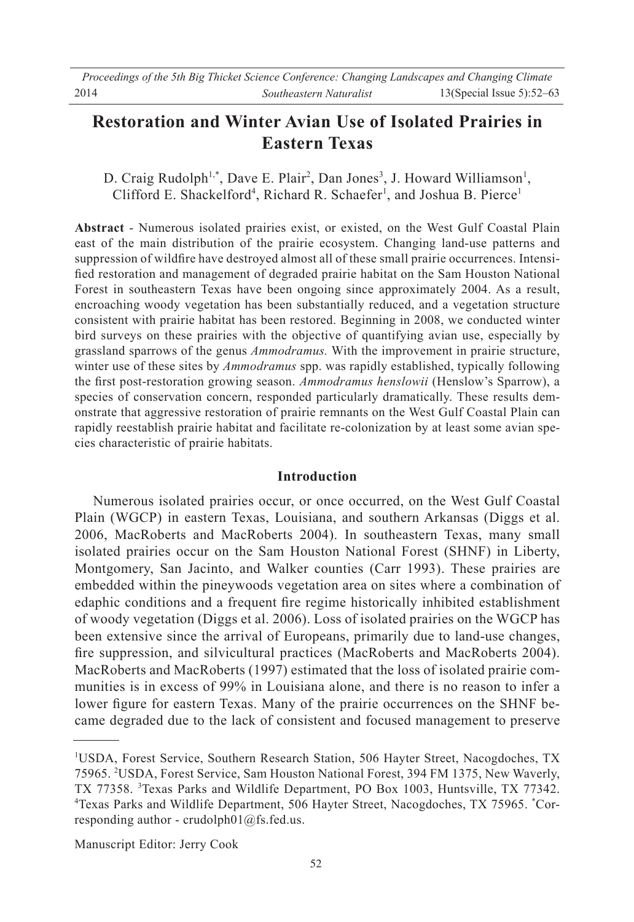# **Restoration and Winter Avian Use of Isolated Prairies in Eastern Texas**

D. Craig Rudolph<sup>1,\*</sup>, Dave E. Plair<sup>2</sup>, Dan Jones<sup>3</sup>, J. Howard Williamson<sup>1</sup>, Clifford E. Shackelford<sup>4</sup>, Richard R. Schaefer<sup>1</sup>, and Joshua B. Pierce<sup>1</sup>

**Abstract** - Numerous isolated prairies exist, or existed, on the West Gulf Coastal Plain east of the main distribution of the prairie ecosystem. Changing land-use patterns and suppression of wildfire have destroyed almost all of these small prairie occurrences. Intensified restoration and management of degraded prairie habitat on the Sam Houston National Forest in southeastern Texas have been ongoing since approximately 2004. As a result, encroaching woody vegetation has been substantially reduced, and a vegetation structure consistent with prairie habitat has been restored. Beginning in 2008, we conducted winter bird surveys on these prairies with the objective of quantifying avian use, especially by grassland sparrows of the genus *Ammodramus.* With the improvement in prairie structure, winter use of these sites by *Ammodramus* spp. was rapidly established, typically following the first post-restoration growing season. Ammodramus henslowii (Henslow's Sparrow), a species of conservation concern, responded particularly dramatically. These results demonstrate that aggressive restoration of prairie remnants on the West Gulf Coastal Plain can rapidly reestablish prairie habitat and facilitate re-colonization by at least some avian species characteristic of prairie habitats.

## **Introduction**

 Numerous isolated prairies occur, or once occurred, on the West Gulf Coastal Plain (WGCP) in eastern Texas, Louisiana, and southern Arkansas (Diggs et al. 2006, MacRoberts and MacRoberts 2004). In southeastern Texas, many small isolated prairies occur on the Sam Houston National Forest (SHNF) in Liberty, Montgomery, San Jacinto, and Walker counties (Carr 1993). These prairies are embedded within the pineywoods vegetation area on sites where a combination of edaphic conditions and a frequent fire regime historically inhibited establishment of woody vegetation (Diggs et al. 2006). Loss of isolated prairies on the WGCP has been extensive since the arrival of Europeans, primarily due to land-use changes, fire suppression, and silvicultural practices (MacRoberts and MacRoberts 2004). MacRoberts and MacRoberts (1997) estimated that the loss of isolated prairie communities is in excess of 99% in Louisiana alone, and there is no reason to infer a lower figure for eastern Texas. Many of the prairie occurrences on the SHNF became degraded due to the lack of consistent and focused management to preserve

Manuscript Editor: Jerry Cook

<sup>&</sup>lt;sup>1</sup>USDA, Forest Service, Southern Research Station, 506 Hayter Street, Nacogdoches, TX 75965. 2 USDA, Forest Service, Sam Houston National Forest, 394 FM 1375, New Waverly, TX 77358. <sup>3</sup> Texas Parks and Wildlife Department, PO Box 1003, Huntsville, TX 77342. Texas Parks and Wildlife Department, 506 Hayter Street, Nacogdoches, TX 75965. \* Corresponding author - crudolph $01@$ fs.fed.us.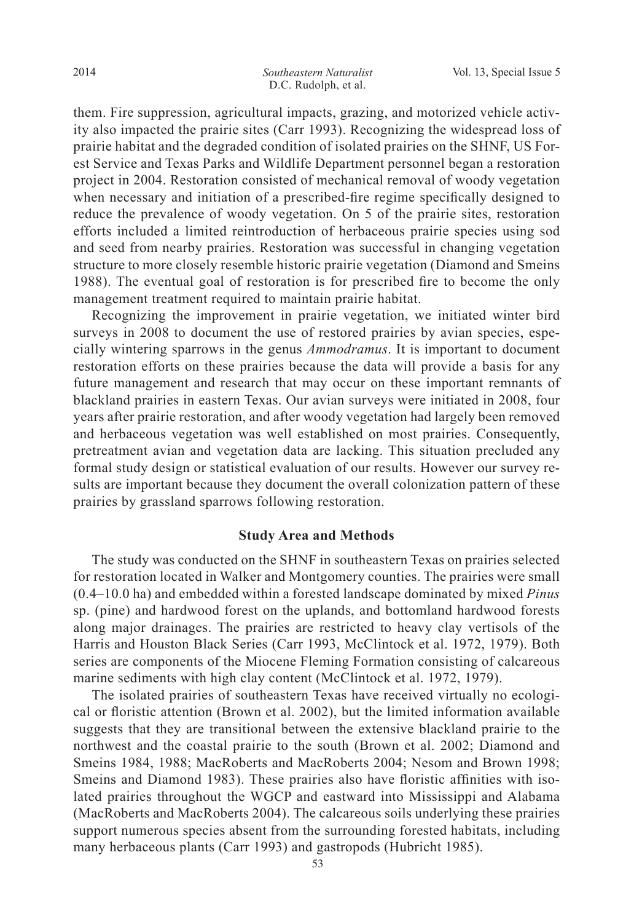them. Fire suppression, agricultural impacts, grazing, and motorized vehicle activity also impacted the prairie sites (Carr 1993). Recognizing the widespread loss of prairie habitat and the degraded condition of isolated prairies on the SHNF, US Forest Service and Texas Parks and Wildlife Department personnel began a restoration project in 2004. Restoration consisted of mechanical removal of woody vegetation when necessary and initiation of a prescribed-fire regime specifically designed to reduce the prevalence of woody vegetation. On 5 of the prairie sites, restoration efforts included a limited reintroduction of herbaceous prairie species using sod and seed from nearby prairies. Restoration was successful in changing vegetation structure to more closely resemble historic prairie vegetation (Diamond and Smeins 1988). The eventual goal of restoration is for prescribed fire to become the only management treatment required to maintain prairie habitat.

 Recognizing the improvement in prairie vegetation, we initiated winter bird surveys in 2008 to document the use of restored prairies by avian species, especially wintering sparrows in the genus *Ammodramus*. It is important to document restoration efforts on these prairies because the data will provide a basis for any future management and research that may occur on these important remnants of blackland prairies in eastern Texas. Our avian surveys were initiated in 2008, four years after prairie restoration, and after woody vegetation had largely been removed and herbaceous vegetation was well established on most prairies. Consequently, pretreatment avian and vegetation data are lacking. This situation precluded any formal study design or statistical evaluation of our results. However our survey results are important because they document the overall colonization pattern of these prairies by grassland sparrows following restoration.

#### **Study Area and Methods**

 The study was conducted on the SHNF in southeastern Texas on prairies selected for restoration located in Walker and Montgomery counties. The prairies were small  $(0.4-10.0$  ha) and embedded within a forested landscape dominated by mixed *Pinus* sp. (pine) and hardwood forest on the uplands, and bottomland hardwood forests along major drainages. The prairies are restricted to heavy clay vertisols of the Harris and Houston Black Series (Carr 1993, McClintock et al. 1972, 1979). Both series are components of the Miocene Fleming Formation consisting of calcareous marine sediments with high clay content (McClintock et al. 1972, 1979).

 The isolated prairies of southeastern Texas have received virtually no ecological or floristic attention (Brown et al. 2002), but the limited information available suggests that they are transitional between the extensive blackland prairie to the northwest and the coastal prairie to the south (Brown et al. 2002; Diamond and Smeins 1984, 1988; MacRoberts and MacRoberts 2004; Nesom and Brown 1998; Smeins and Diamond 1983). These prairies also have floristic affinities with isolated prairies throughout the WGCP and eastward into Mississippi and Alabama (MacRoberts and MacRoberts 2004). The calcareous soils underlying these prairies support numerous species absent from the surrounding forested habitats, including many herbaceous plants (Carr 1993) and gastropods (Hubricht 1985).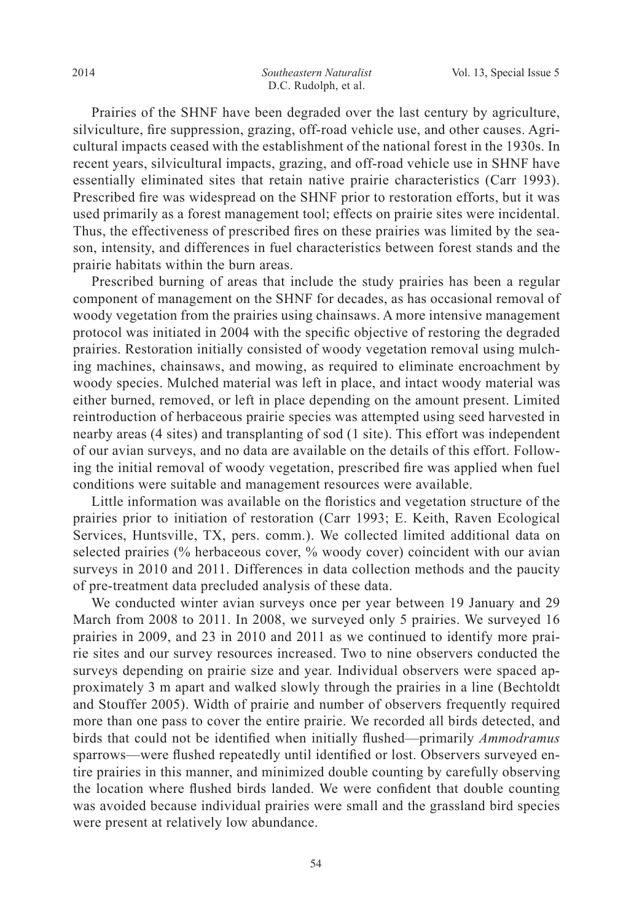Prairies of the SHNF have been degraded over the last century by agriculture, silviculture, fire suppression, grazing, off-road vehicle use, and other causes. Agricultural impacts ceased with the establishment of the national forest in the 1930s. In recent years, silvicultural impacts, grazing, and off-road vehicle use in SHNF have essentially eliminated sites that retain native prairie characteristics (Carr 1993). Prescribed fire was widespread on the SHNF prior to restoration efforts, but it was used primarily as a forest management tool; effects on prairie sites were incidental. Thus, the effectiveness of prescribed fires on these prairies was limited by the season, intensity, and differences in fuel characteristics between forest stands and the prairie habitats within the burn areas.

 Prescribed burning of areas that include the study prairies has been a regular component of management on the SHNF for decades, as has occasional removal of woody vegetation from the prairies using chainsaws. A more intensive management protocol was initiated in 2004 with the specific objective of restoring the degraded prairies. Restoration initially consisted of woody vegetation removal using mulching machines, chainsaws, and mowing, as required to eliminate encroachment by woody species. Mulched material was left in place, and intact woody material was either burned, removed, or left in place depending on the amount present. Limited reintroduction of herbaceous prairie species was attempted using seed harvested in nearby areas (4 sites) and transplanting of sod (1 site). This effort was independent of our avian surveys, and no data are available on the details of this effort. Following the initial removal of woody vegetation, prescribed fire was applied when fuel conditions were suitable and management resources were available.

Little information was available on the floristics and vegetation structure of the prairies prior to initiation of restoration (Carr 1993; E. Keith, Raven Ecological Services, Huntsville, TX, pers. comm.). We collected limited additional data on selected prairies (% herbaceous cover, % woody cover) coincident with our avian surveys in 2010 and 2011. Differences in data collection methods and the paucity of pre-treatment data precluded analysis of these data.

 We conducted winter avian surveys once per year between 19 January and 29 March from 2008 to 2011. In 2008, we surveyed only 5 prairies. We surveyed 16 prairies in 2009, and 23 in 2010 and 2011 as we continued to identify more prairie sites and our survey resources increased. Two to nine observers conducted the surveys depending on prairie size and year. Individual observers were spaced approximately 3 m apart and walked slowly through the prairies in a line (Bechtoldt and Stouffer 2005). Width of prairie and number of observers frequently required more than one pass to cover the entire prairie. We recorded all birds detected, and birds that could not be identified when initially flushed—primarily *Ammodramus* sparrows—were flushed repeatedly until identified or lost. Observers surveyed entire prairies in this manner, and minimized double counting by carefully observing the location where flushed birds landed. We were confident that double counting was avoided because individual prairies were small and the grassland bird species were present at relatively low abundance.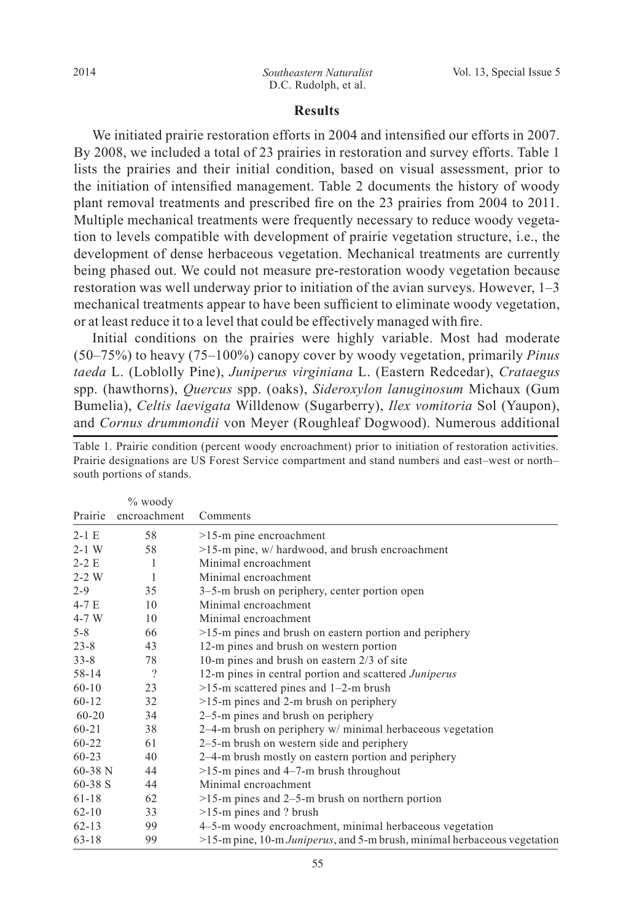#### **Results**

We initiated prairie restoration efforts in 2004 and intensified our efforts in 2007. By 2008, we included a total of 23 prairies in restoration and survey efforts. Table 1 lists the prairies and their initial condition, based on visual assessment, prior to the initiation of intensified management. Table 2 documents the history of woody plant removal treatments and prescribed fire on the 23 prairies from 2004 to 2011. Multiple mechanical treatments were frequently necessary to reduce woody vegetation to levels compatible with development of prairie vegetation structure, i.e., the development of dense herbaceous vegetation. Mechanical treatments are currently being phased out. We could not measure pre-restoration woody vegetation because restoration was well underway prior to initiation of the avian surveys. However,  $1-3$ mechanical treatments appear to have been sufficient to eliminate woody vegetation, or at least reduce it to a level that could be effectively managed with fire.

Initial conditions on the prairies were highly variable. Most had moderate  $(50-75\%)$  to heavy  $(75-100\%)$  canopy cover by woody vegetation, primarily *Pinus taeda* L. (Loblolly Pine), *Juniperus virginiana* L. (Eastern Redcedar), *Crataegus* spp. (hawthorns), *Quercus* spp. (oaks), *Sideroxylon lanuginosum* Michaux (Gum Bumelia), *Celtis laevigata* Willdenow (Sugarberry), *Ilex vomitoria* Sol (Yaupon), and *Cornus drummondii* von Meyer (Roughleaf Dogwood). Numerous additional

|           | $\%$ woody   |                                                                          |
|-----------|--------------|--------------------------------------------------------------------------|
| Prairie   | encroachment | Comments                                                                 |
| $2-1E$    | 58           | $>15$ -m pine encroachment                                               |
| $2 - 1$ W | 58           | >15-m pine, w/ hardwood, and brush encroachment                          |
| $2-2E$    | 1            | Minimal encroachment                                                     |
| $2 - 2$ W | $\mathbf{1}$ | Minimal encroachment                                                     |
| $2 - 9$   | 35           | 3–5-m brush on periphery, center portion open                            |
| $4-7E$    | 10           | Minimal encroachment                                                     |
| $4-7$ W   | 10           | Minimal encroachment                                                     |
| $5 - 8$   | 66           | $>15$ -m pines and brush on eastern portion and periphery                |
| $23 - 8$  | 43           | 12-m pines and brush on western portion                                  |
| $33 - 8$  | 78           | 10-m pines and brush on eastern 2/3 of site                              |
| 58-14     | $\gamma$     | 12-m pines in central portion and scattered Juniperus                    |
| $60 - 10$ | 23           | $>15$ -m scattered pines and 1-2-m brush                                 |
| $60 - 12$ | 32           | $>15$ -m pines and 2-m brush on periphery                                |
| $60 - 20$ | 34           | 2–5-m pines and brush on periphery                                       |
| $60 - 21$ | 38           | $2-4$ -m brush on periphery w/ minimal herbaceous vegetation             |
| $60 - 22$ | 61           | 2–5-m brush on western side and periphery                                |
| $60 - 23$ | 40           | 2–4-m brush mostly on eastern portion and periphery                      |
| $60-38$ N | 44           | $>15$ -m pines and 4-7-m brush throughout                                |
| $60-38$ S | 44           | Minimal encroachment                                                     |
| $61 - 18$ | 62           | $>15$ -m pines and 2–5-m brush on northern portion                       |
| $62 - 10$ | 33           | $>15$ -m pines and ? brush                                               |
| $62 - 13$ | 99           | 4-5-m woody encroachment, minimal herbaceous vegetation                  |
| $63 - 18$ | 99           | >15-m pine, 10-m Juniperus, and 5-m brush, minimal herbaceous vegetation |

Table 1. Prairie condition (percent woody encroachment) prior to initiation of restoration activities. Prairie designations are US Forest Service compartment and stand numbers and east-west or northsouth portions of stands.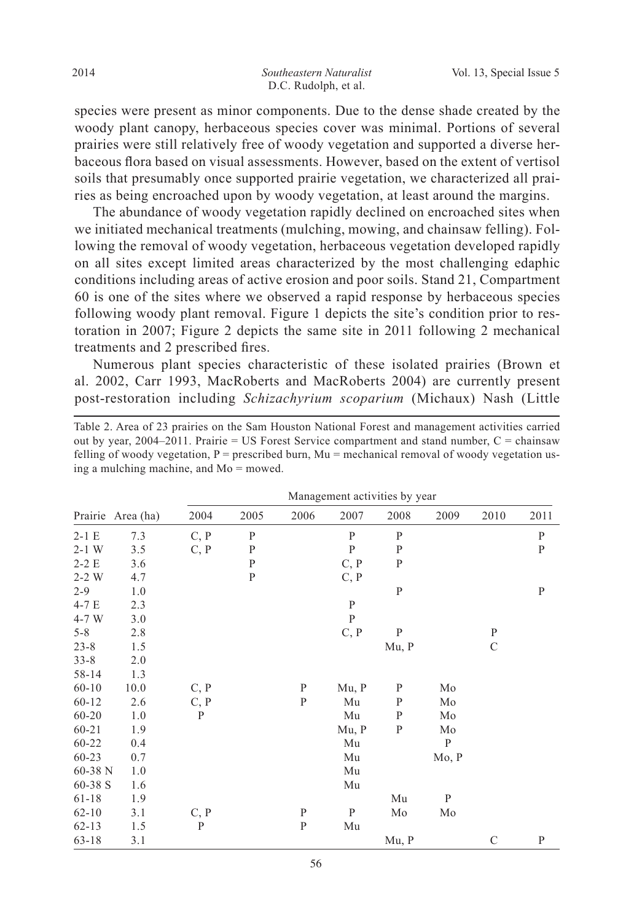species were present as minor components. Due to the dense shade created by the woody plant canopy, herbaceous species cover was minimal. Portions of several prairies were still relatively free of woody vegetation and supported a diverse herbaceous flora based on visual assessments. However, based on the extent of vertisol soils that presumably once supported prairie vegetation, we characterized all prairies as being encroached upon by woody vegetation, at least around the margins.

 The abundance of woody vegetation rapidly declined on encroached sites when we initiated mechanical treatments (mulching, mowing, and chainsaw felling). Following the removal of woody vegetation, herbaceous vegetation developed rapidly on all sites except limited areas characterized by the most challenging edaphic conditions including areas of active erosion and poor soils. Stand 21, Compartment 60 is one of the sites where we observed a rapid response by herbaceous species following woody plant removal. Figure 1 depicts the site's condition prior to restoration in 2007; Figure 2 depicts the same site in 2011 following 2 mechanical treatments and 2 prescribed fires.

 Numerous plant species characteristic of these isolated prairies (Brown et al. 2002, Carr 1993, MacRoberts and MacRoberts 2004) are currently present post-restoration including *Schizachyrium scoparium* (Michaux) Nash (Little

Table 2. Area of 23 prairies on the Sam Houston National Forest and management activities carried out by year, 2004–2011. Prairie = US Forest Service compartment and stand number,  $C =$  chainsaw felling of woody vegetation,  $P =$  prescribed burn, Mu = mechanical removal of woody vegetation using a mulching machine, and  $Mo =$  mowed.

|           |                   | Management activities by year |              |              |              |              |       |               |              |  |
|-----------|-------------------|-------------------------------|--------------|--------------|--------------|--------------|-------|---------------|--------------|--|
|           | Prairie Area (ha) | 2004                          | 2005         | 2006         | 2007         | 2008         | 2009  | 2010          | 2011         |  |
| $2-1 E$   | 7.3               | C, P                          | P            |              | P            | P            |       |               | $\mathbf P$  |  |
| $2-1$ W   | 3.5               | C, P                          | $\mathbf P$  |              | $\mathbf{P}$ | P            |       |               | ${\bf P}$    |  |
| $2-2E$    | 3.6               |                               | $\, {\bf P}$ |              | C, P         | ${\bf P}$    |       |               |              |  |
| $2-2$ W   | 4.7               |                               | $\mathbf{P}$ |              | C, P         |              |       |               |              |  |
| $2 - 9$   | 1.0               |                               |              |              |              | $\, {\bf P}$ |       |               | $\, {\bf P}$ |  |
| $4-7E$    | 2.3               |                               |              |              | $\mathbf{P}$ |              |       |               |              |  |
| 4-7 W     | 3.0               |                               |              |              | $\mathbf{P}$ |              |       |               |              |  |
| $5 - 8$   | 2.8               |                               |              |              | C, P         | ${\bf P}$    |       | $\mathbf{P}$  |              |  |
| $23 - 8$  | 1.5               |                               |              |              |              | Mu, P        |       | $\mathbf C$   |              |  |
| $33 - 8$  | 2.0               |                               |              |              |              |              |       |               |              |  |
| 58-14     | 1.3               |                               |              |              |              |              |       |               |              |  |
| $60 - 10$ | 10.0              | C, P                          |              | $\mathbf{P}$ | Mu, P        | $\mathbf P$  | Mo    |               |              |  |
| $60 - 12$ | 2.6               | C, P                          |              | $\mathbf{P}$ | Mu           | $\mathbf{P}$ | Mo    |               |              |  |
| $60 - 20$ | 1.0               | P                             |              |              | Mu           | $\mathbf{P}$ | Mo    |               |              |  |
| $60 - 21$ | 1.9               |                               |              |              | Mu, P        | ${\bf P}$    | Mo    |               |              |  |
| 60-22     | 0.4               |                               |              |              | Mu           |              | P     |               |              |  |
| $60 - 23$ | 0.7               |                               |              |              | Mu           |              | Mo, P |               |              |  |
| 60-38 N   | 1.0               |                               |              |              | Mu           |              |       |               |              |  |
| 60-38 S   | 1.6               |                               |              |              | Mu           |              |       |               |              |  |
| $61 - 18$ | 1.9               |                               |              |              |              | Mu           | P     |               |              |  |
| $62 - 10$ | 3.1               | C, P                          |              | $\mathbf{P}$ | $\mathbf P$  | Mo           | Mo    |               |              |  |
| $62 - 13$ | 1.5               | $\mathbf{P}$                  |              | $\mathbf{P}$ | Mu           |              |       |               |              |  |
| $63 - 18$ | 3.1               |                               |              |              |              | Mu, P        |       | $\mathcal{C}$ | $\mathbf P$  |  |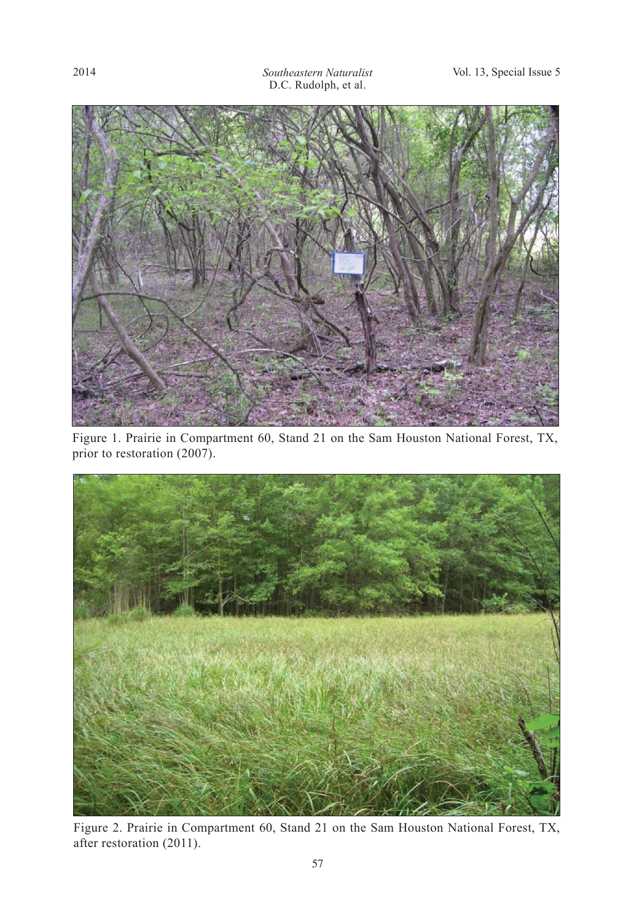

Figure 1. Prairie in Compartment 60, Stand 21 on the Sam Houston National Forest, TX, prior to restoration (2007).



Figure 2. Prairie in Compartment 60, Stand 21 on the Sam Houston National Forest, TX, after restoration (2011).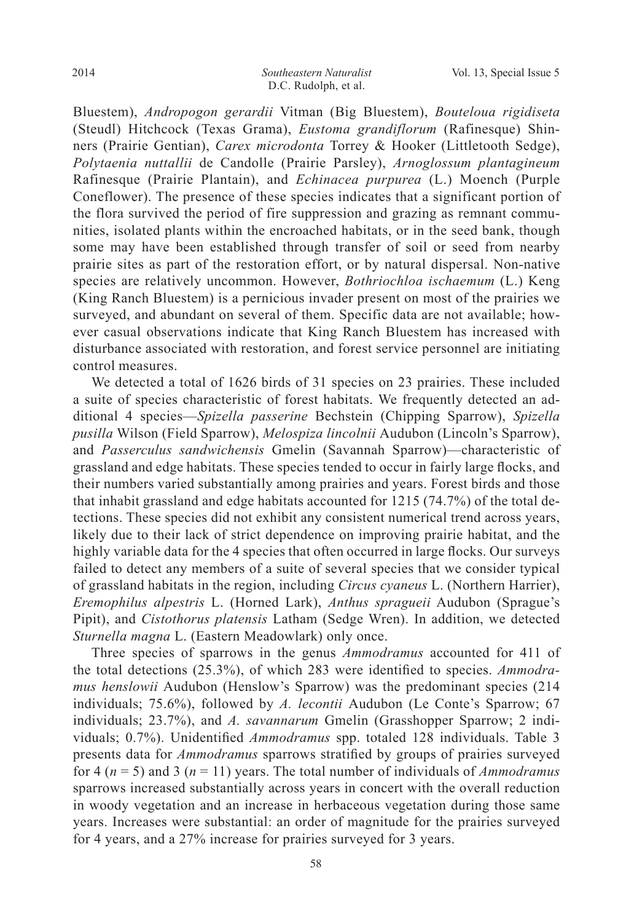Bluestem), *Andropogon gerardii* Vitman (Big Bluestem), *Bouteloua rigidiseta*  (Steudl) Hitchcock (Texas Grama), *Eustoma grandiflorum* (Rafinesque) Shinners (Prairie Gentian), *Carex microdonta* Torrey & Hooker (Littletooth Sedge), *Polytaenia nuttallii* de Candolle (Prairie Parsley), *Arnoglossum plantagineum*  Rafinesque (Prairie Plantain), and *Echinacea purpurea* (L.) Moench (Purple Coneflower). The presence of these species indicates that a significant portion of the flora survived the period of fire suppression and grazing as remnant communities, isolated plants within the encroached habitats, or in the seed bank, though some may have been established through transfer of soil or seed from nearby prairie sites as part of the restoration effort, or by natural dispersal. Non-native species are relatively uncommon. However, *Bothriochloa ischaemum* (L.) Keng (King Ranch Bluestem) is a pernicious invader present on most of the prairies we surveyed, and abundant on several of them. Specific data are not available; however casual observations indicate that King Ranch Bluestem has increased with disturbance associated with restoration, and forest service personnel are initiating control measures.

 We detected a total of 1626 birds of 31 species on 23 prairies. These included a suite of species characteristic of forest habitats. We frequently detected an additional 4 species—*Spizella passerine* Bechstein (Chipping Sparrow), *Spizella pusilla* Wilson (Field Sparrow), *Melospiza lincolnii* Audubon (Lincoln's Sparrow), and Passerculus sandwichensis Gmelin (Savannah Sparrow)—characteristic of grassland and edge habitats. These species tended to occur in fairly large flocks, and their numbers varied substantially among prairies and years. Forest birds and those that inhabit grassland and edge habitats accounted for 1215 (74.7%) of the total detections. These species did not exhibit any consistent numerical trend across years, likely due to their lack of strict dependence on improving prairie habitat, and the highly variable data for the 4 species that often occurred in large flocks. Our surveys failed to detect any members of a suite of several species that we consider typical of grassland habitats in the region, including *Circus cyaneus* L. (Northern Harrier), *Eremophilus alpestris* L. (Horned Lark), *Anthus spragueii* Audubon (Sprague's Pipit), and *Cistothorus platensis* Latham (Sedge Wren). In addition, we detected *Sturnella magna* L. (Eastern Meadowlark) only once.

 Three species of sparrows in the genus *Ammodramus* accounted for 411 of the total detections (25.3%), of which 283 were identified to species. *Ammodramus henslowii* Audubon (Henslow's Sparrow) was the predominant species (214 individuals; 75.6%), followed by *A. lecontii* Audubon (Le Conte's Sparrow; 67 individuals; 23.7%), and *A. savannarum* Gmelin (Grasshopper Sparrow; 2 individuals; 0.7%). Unidentified *Ammodramus* spp. totaled 128 individuals. Table 3 presents data for *Ammodramus* sparrows stratified by groups of prairies surveyed for 4 ( $n = 5$ ) and 3 ( $n = 11$ ) years. The total number of individuals of *Ammodramus* sparrows increased substantially across years in concert with the overall reduction in woody vegetation and an increase in herbaceous vegetation during those same years. Increases were substantial: an order of magnitude for the prairies surveyed for 4 years, and a 27% increase for prairies surveyed for 3 years.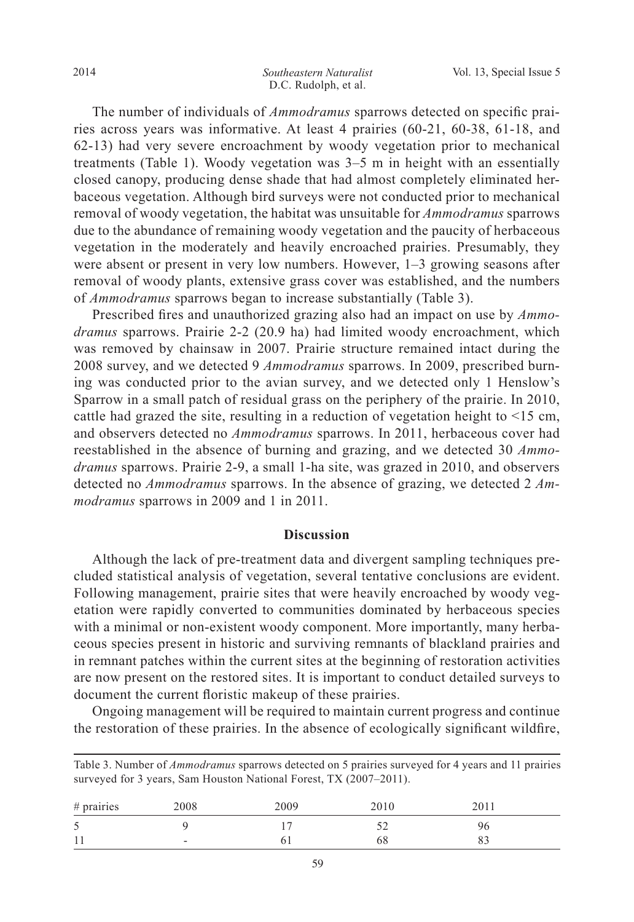The number of individuals of *Ammodramus* sparrows detected on specific prairies across years was informative. At least 4 prairies (60-21, 60-38, 61-18, and 62-13) had very severe encroachment by woody vegetation prior to mechanical treatments (Table 1). Woody vegetation was  $3-5$  m in height with an essentially closed canopy, producing dense shade that had almost completely eliminated herbaceous vegetation. Although bird surveys were not conducted prior to mechanical removal of woody vegetation, the habitat was unsuitable for *Ammodramus* sparrows due to the abundance of remaining woody vegetation and the paucity of herbaceous vegetation in the moderately and heavily encroached prairies. Presumably, they were absent or present in very low numbers. However,  $1-3$  growing seasons after removal of woody plants, extensive grass cover was established, and the numbers of *Ammodramus* sparrows began to increase substantially (Table 3).

Prescribed fires and unauthorized grazing also had an impact on use by *Ammodramus* sparrows. Prairie 2-2 (20.9 ha) had limited woody encroachment, which was removed by chainsaw in 2007. Prairie structure remained intact during the 2008 survey, and we detected 9 *Ammodramus* sparrows. In 2009, prescribed burning was conducted prior to the avian survey, and we detected only 1 Henslow's Sparrow in a small patch of residual grass on the periphery of the prairie. In 2010, cattle had grazed the site, resulting in a reduction of vegetation height to <15 cm, and observers detected no *Ammodramus* sparrows. In 2011, herbaceous cover had reestablished in the absence of burning and grazing, and we detected 30 *Ammodramus* sparrows. Prairie 2-9, a small 1-ha site, was grazed in 2010, and observers detected no *Ammodramus* sparrows. In the absence of grazing, we detected 2 *Ammodramus* sparrows in 2009 and 1 in 2011.

### **Discussion**

 Although the lack of pre-treatment data and divergent sampling techniques precluded statistical analysis of vegetation, several tentative conclusions are evident. Following management, prairie sites that were heavily encroached by woody vegetation were rapidly converted to communities dominated by herbaceous species with a minimal or non-existent woody component. More importantly, many herbaceous species present in historic and surviving remnants of blackland prairies and in remnant patches within the current sites at the beginning of restoration activities are now present on the restored sites. It is important to conduct detailed surveys to document the current floristic makeup of these prairies.

 Ongoing management will be required to maintain current progress and continue the restoration of these prairies. In the absence of ecologically significant wildfire,

| surveyed for 3 years, Sam Houston National Forest, TX (2007–2011). |      |      |      |      |  |  |  |  |  |
|--------------------------------------------------------------------|------|------|------|------|--|--|--|--|--|
| $#$ prairies                                                       | 2008 | 2009 | 2010 | 2011 |  |  |  |  |  |
|                                                                    |      |      |      | Yһ   |  |  |  |  |  |
|                                                                    | -    |      |      |      |  |  |  |  |  |

Table 3. Number of *Ammodramus* sparrows detected on 5 prairies surveyed for 4 years and 11 prairies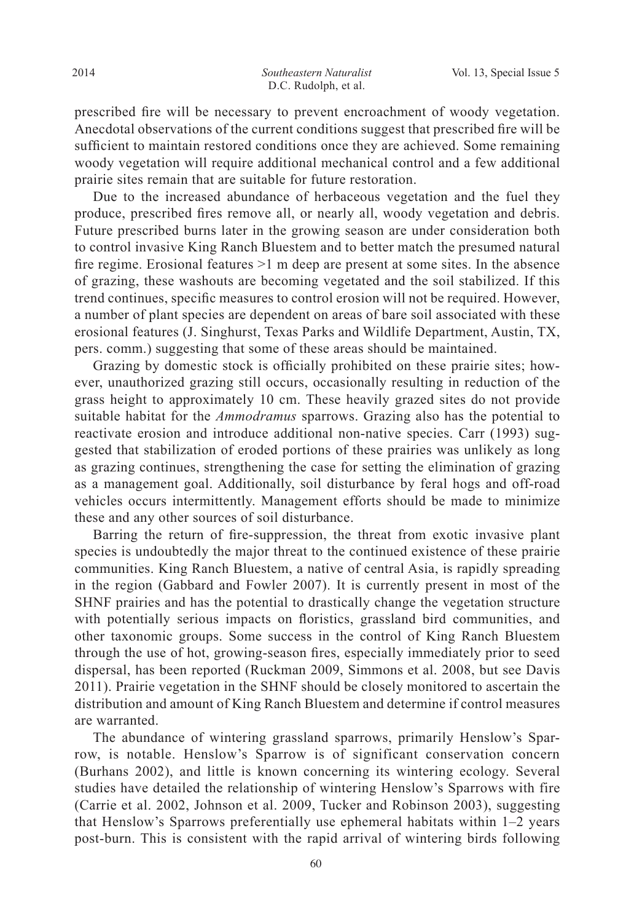prescribed fire will be necessary to prevent encroachment of woody vegetation. A necdotal observations of the current conditions suggest that prescribed fire will be sufficient to maintain restored conditions once they are achieved. Some remaining woody vegetation will require additional mechanical control and a few additional prairie sites remain that are suitable for future restoration.

 Due to the increased abundance of herbaceous vegetation and the fuel they produce, prescribed fires remove all, or nearly all, woody vegetation and debris. Future prescribed burns later in the growing season are under consideration both to control invasive King Ranch Bluestem and to better match the presumed natural fire regime. Erosional features  $>1$  m deep are present at some sites. In the absence of grazing, these washouts are becoming vegetated and the soil stabilized. If this trend continues, specific measures to control erosion will not be required. However, a number of plant species are dependent on areas of bare soil associated with these erosional features (J. Singhurst, Texas Parks and Wildlife Department, Austin, TX, pers. comm.) suggesting that some of these areas should be maintained.

Grazing by domestic stock is officially prohibited on these prairie sites; however, unauthorized grazing still occurs, occasionally resulting in reduction of the grass height to approximately 10 cm. These heavily grazed sites do not provide suitable habitat for the *Ammodramus* sparrows. Grazing also has the potential to reactivate erosion and introduce additional non-native species. Carr (1993) suggested that stabilization of eroded portions of these prairies was unlikely as long as grazing continues, strengthening the case for setting the elimination of grazing as a management goal. Additionally, soil disturbance by feral hogs and off-road vehicles occurs intermittently. Management efforts should be made to minimize these and any other sources of soil disturbance.

Barring the return of fire-suppression, the threat from exotic invasive plant species is undoubtedly the major threat to the continued existence of these prairie communities. King Ranch Bluestem, a native of central Asia, is rapidly spreading in the region (Gabbard and Fowler 2007). It is currently present in most of the SHNF prairies and has the potential to drastically change the vegetation structure with potentially serious impacts on floristics, grassland bird communities, and other taxonomic groups. Some success in the control of King Ranch Bluestem through the use of hot, growing-season fires, especially immediately prior to seed dispersal, has been reported (Ruckman 2009, Simmons et al. 2008, but see Davis 2011). Prairie vegetation in the SHNF should be closely monitored to ascertain the distribution and amount of King Ranch Bluestem and determine if control measures are warranted.

 The abundance of wintering grassland sparrows, primarily Henslow's Sparrow, is notable. Henslow's Sparrow is of significant conservation concern (Burhans 2002), and little is known concerning its wintering ecology. Several studies have detailed the relationship of wintering Henslow's Sparrows with fire (Carrie et al. 2002, Johnson et al. 2009, Tucker and Robinson 2003), suggesting that Henslow's Sparrows preferentially use ephemeral habitats within  $1-2$  years post-burn. This is consistent with the rapid arrival of wintering birds following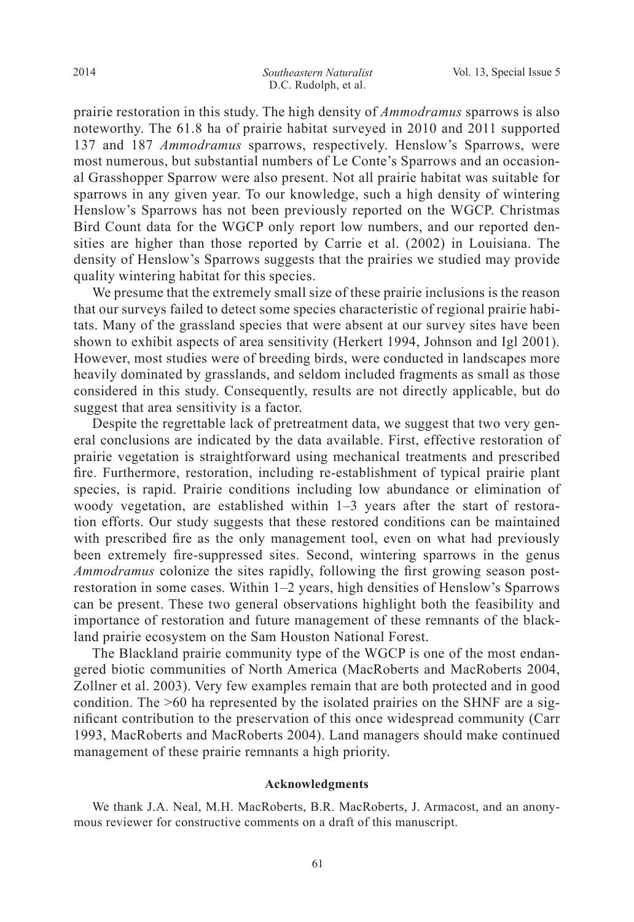prairie restoration in this study. The high density of *Ammodramus* sparrows is also noteworthy. The 61.8 ha of prairie habitat surveyed in 2010 and 2011 supported 137 and 187 *Ammodramus* sparrows, respectively. Henslow's Sparrows, were most numerous, but substantial numbers of Le Conte's Sparrows and an occasional Grasshopper Sparrow were also present. Not all prairie habitat was suitable for sparrows in any given year. To our knowledge, such a high density of wintering Henslow's Sparrows has not been previously reported on the WGCP. Christmas Bird Count data for the WGCP only report low numbers, and our reported densities are higher than those reported by Carrie et al. (2002) in Louisiana. The density of Henslow's Sparrows suggests that the prairies we studied may provide quality wintering habitat for this species.

 We presume that the extremely small size of these prairie inclusions is the reason that our surveys failed to detect some species characteristic of regional prairie habitats. Many of the grassland species that were absent at our survey sites have been shown to exhibit aspects of area sensitivity (Herkert 1994, Johnson and Igl  $2001$ ). However, most studies were of breeding birds, were conducted in landscapes more heavily dominated by grasslands, and seldom included fragments as small as those considered in this study. Consequently, results are not directly applicable, but do suggest that area sensitivity is a factor.

 Despite the regrettable lack of pretreatment data, we suggest that two very general conclusions are indicated by the data available. First, effective restoration of prairie vegetation is straightforward using mechanical treatments and prescribed fire. Furthermore, restoration, including re-establishment of typical prairie plant species, is rapid. Prairie conditions including low abundance or elimination of woody vegetation, are established within  $1-3$  years after the start of restoration efforts. Our study suggests that these restored conditions can be maintained with prescribed fire as the only management tool, even on what had previously been extremely fire-suppressed sites. Second, wintering sparrows in the genus *Ammodramus* colonize the sites rapidly, following the first growing season postrestoration in some cases. Within  $1-2$  years, high densities of Henslow's Sparrows can be present. These two general observations highlight both the feasibility and importance of restoration and future management of these remnants of the blackland prairie ecosystem on the Sam Houston National Forest.

 The Blackland prairie community type of the WGCP is one of the most endangered biotic communities of North America (MacRoberts and MacRoberts 2004, Zollner et al. 2003). Very few examples remain that are both protected and in good condition. The >60 ha represented by the isolated prairies on the SHNF are a significant contribution to the preservation of this once widespread community (Carr 1993, MacRoberts and MacRoberts 2004). Land managers should make continued management of these prairie remnants a high priority.

#### **Acknowledgments**

 We thank J.A. Neal, M.H. MacRoberts, B.R. MacRoberts, J. Armacost, and an anonymous reviewer for constructive comments on a draft of this manuscript.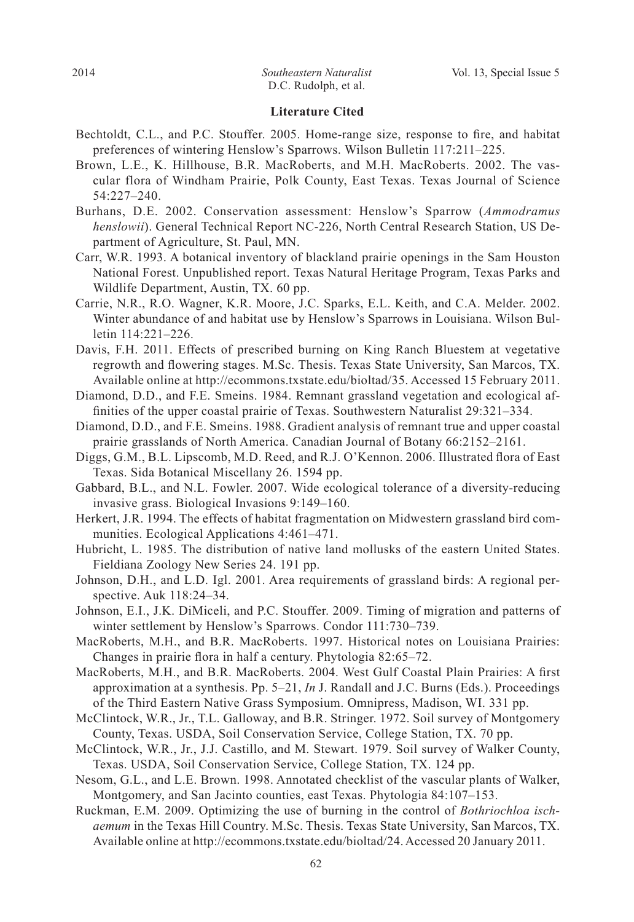#### **Literature Cited**

- Bechtoldt, C.L., and P.C. Stouffer. 2005. Home-range size, response to fire, and habitat preferences of wintering Henslow's Sparrows. Wilson Bulletin 117:211-225.
- Brown, L.E., K. Hillhouse, B.R. MacRoberts, and M.H. MacRoberts. 2002. The vascular flora of Windham Prairie, Polk County, East Texas. Texas Journal of Science  $54:227 - 240.$
- Burhans, D.E. 2002. Conservation assessment: Henslow's Sparrow (*Ammodramus henslowii*). General Technical Report NC-226, North Central Research Station, US Department of Agriculture, St. Paul, MN.
- Carr, W.R. 1993. A botanical inventory of blackland prairie openings in the Sam Houston National Forest. Unpublished report. Texas Natural Heritage Program, Texas Parks and Wildlife Department, Austin, TX. 60 pp.
- Carrie, N.R., R.O. Wagner, K.R. Moore, J.C. Sparks, E.L. Keith, and C.A. Melder. 2002. Winter abundance of and habitat use by Henslow's Sparrows in Louisiana. Wilson Bulletin 114:221-226.
- Davis, F.H. 2011. Effects of prescribed burning on King Ranch Bluestem at vegetative regrowth and flowering stages. M.Sc. Thesis. Texas State University, San Marcos, TX. Available online at http://ecommons.txstate.edu/bioltad/35. Accessed 15 February 2011.
- Diamond, D.D., and F.E. Smeins. 1984. Remnant grassland vegetation and ecological af finities of the upper coastal prairie of Texas. Southwestern Naturalist  $29:321-334$ .
- Diamond, D.D., and F.E. Smeins. 1988. Gradient analysis of remnant true and upper coastal prairie grasslands of North America. Canadian Journal of Botany 66:2152-2161.
- Diggs, G.M., B.L. Lipscomb, M.D. Reed, and R.J. O'Kennon. 2006. Illustrated flora of East Texas. Sida Botanical Miscellany 26. 1594 pp.
- Gabbard, B.L., and N.L. Fowler. 2007. Wide ecological tolerance of a diversity-reducing invasive grass. Biological Invasions  $9:149-160$ .
- Herkert, J.R. 1994. The effects of habitat fragmentation on Midwestern grassland bird communities. Ecological Applications  $4:461-471$ .
- Hubricht, L. 1985. The distribution of native land mollusks of the eastern United States. Fieldiana Zoology New Series 24. 191 pp.
- Johnson, D.H., and L.D. Igl. 2001. Area requirements of grassland birds: A regional perspective. Auk  $118:24-34$ .
- Johnson, E.I., J.K. DiMiceli, and P.C. Stouffer. 2009. Timing of migration and patterns of winter settlement by Henslow's Sparrows. Condor 111:730-739.
- MacRoberts, M.H., and B.R. MacRoberts. 1997. Historical notes on Louisiana Prairies: Changes in prairie flora in half a century. Phytologia 82:65-72.
- MacRoberts, M.H., and B.R. MacRoberts. 2004. West Gulf Coastal Plain Prairies: A first approximation at a synthesis. Pp.  $5-21$ , *In* J. Randall and J.C. Burns (Eds.). Proceedings of the Third Eastern Native Grass Symposium. Omnipress, Madison, WI. 331 pp.
- McClintock, W.R., Jr., T.L. Galloway, and B.R. Stringer. 1972. Soil survey of Montgomery County, Texas. USDA, Soil Conservation Service, College Station, TX. 70 pp.
- McClintock, W.R., Jr., J.J. Castillo, and M. Stewart. 1979. Soil survey of Walker County, Texas. USDA, Soil Conservation Service, College Station, TX. 124 pp.
- Nesom, G.L., and L.E. Brown. 1998. Annotated checklist of the vascular plants of Walker, Montgomery, and San Jacinto counties, east Texas. Phytologia 84:107–153.
- Ruckman, E.M. 2009. Optimizing the use of burning in the control of *Bothriochloa ischaemum* in the Texas Hill Country. M.Sc. Thesis. Texas State University, San Marcos, TX. Available online at http://ecommons.txstate.edu/bioltad/24. Accessed 20 January 2011.